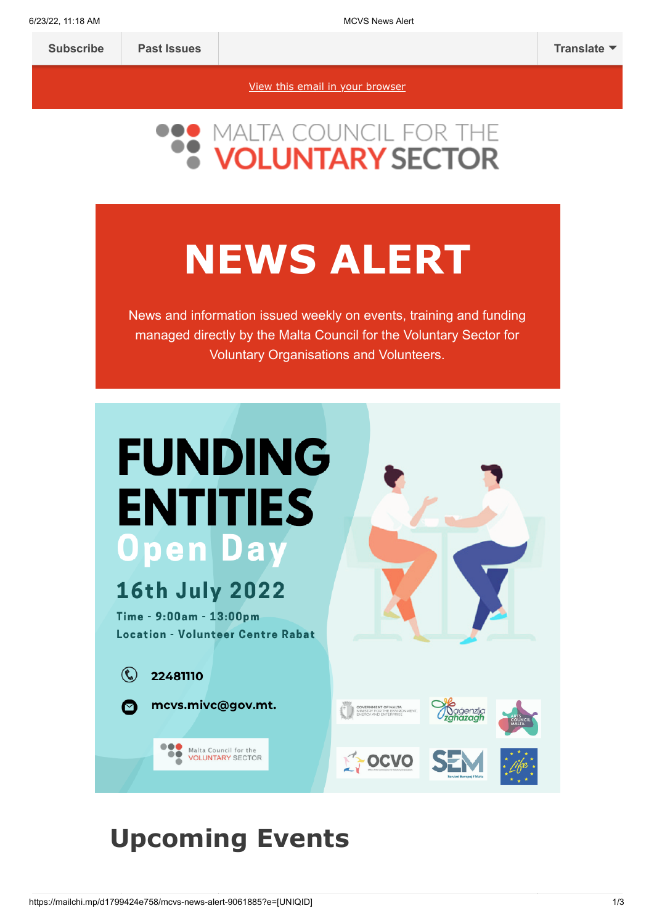[View this email in your browser](https://mailchi.mp/d1799424e758/mcvs-news-alert-9061885?e=[UNIQID])



## **NEWS ALERT**

News and information issued weekly on events, training and funding managed directly by the Malta Council for the Voluntary Sector for Voluntary Organisations and Volunteers.



## **Upcoming Events**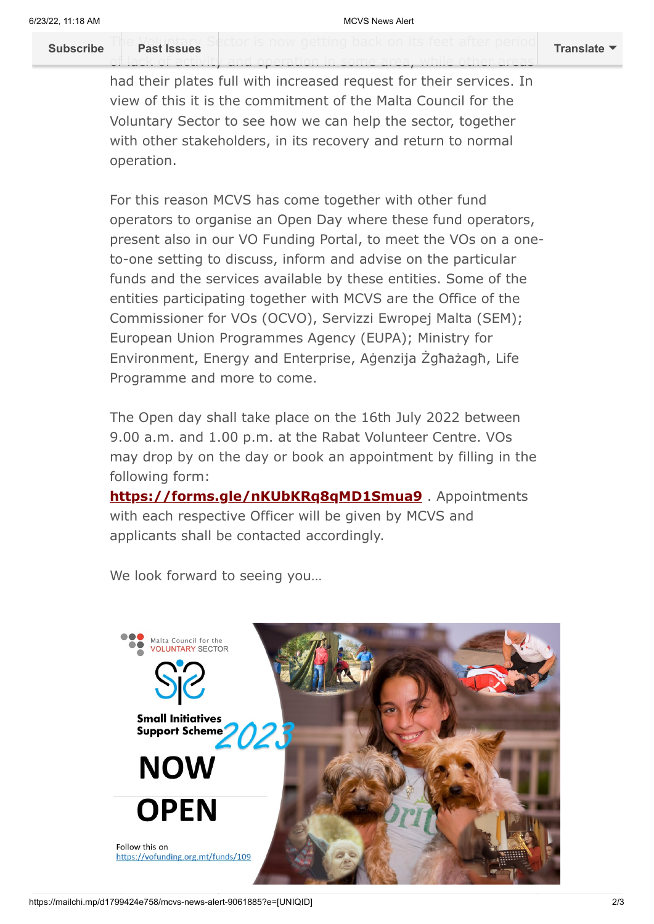The *Voluntary* Sector is now getting back on its feet after period **[Subscribe](http://eepurl.com/h2Pv5b) Past Issues [Translate](javascript:;)**

had their plates full with increased request for their services. In view of this it is the commitment of the Malta Council for the Voluntary Sector to see how we can help the sector, together with other stakeholders, in its recovery and return to normal operation.

of lack of activity and operation in some area, while other areas

For this reason MCVS has come together with other fund operators to organise an Open Day where these fund operators, present also in our VO Funding Portal, to meet the VOs on a oneto-one setting to discuss, inform and advise on the particular funds and the services available by these entities. Some of the entities participating together with MCVS are the Office of the Commissioner for VOs (OCVO), Servizzi Ewropej Malta (SEM); European Union Programmes Agency (EUPA); Ministry for Environment, Energy and Enterprise, Aġenzija Żgħażagħ, Life Programme and more to come.

The Open day shall take place on the 16th July 2022 between 9.00 a.m. and 1.00 p.m. at the Rabat Volunteer Centre. VOs may drop by on the day or book an appointment by filling in the following form:

**<https://forms.gle/nKUbKRq8qMD1Smua9>** . Appointments with each respective Officer will be given by MCVS and applicants shall be contacted accordingly.



We look forward to seeing you...